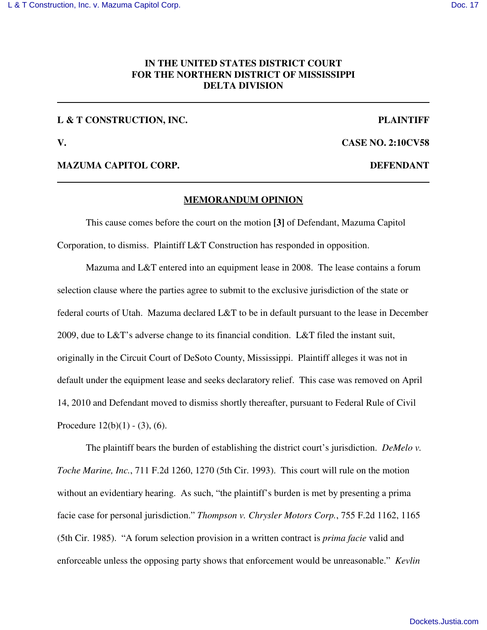## **IN THE UNITED STATES DISTRICT COURT FOR THE NORTHERN DISTRICT OF MISSISSIPPI DELTA DIVISION**

## **L & T CONSTRUCTION, INC. PLAINTIFF**

**V. CASE NO. 2:10CV58**

### **MAZUMA CAPITOL CORP. DEFENDANT**

### **MEMORANDUM OPINION**

This cause comes before the court on the motion **[3]** of Defendant, Mazuma Capitol Corporation, to dismiss. Plaintiff L&T Construction has responded in opposition.

Mazuma and L&T entered into an equipment lease in 2008. The lease contains a forum selection clause where the parties agree to submit to the exclusive jurisdiction of the state or federal courts of Utah. Mazuma declared L&T to be in default pursuant to the lease in December 2009, due to L&T's adverse change to its financial condition. L&T filed the instant suit, originally in the Circuit Court of DeSoto County, Mississippi. Plaintiff alleges it was not in default under the equipment lease and seeks declaratory relief. This case was removed on April 14, 2010 and Defendant moved to dismiss shortly thereafter, pursuant to Federal Rule of Civil Procedure  $12(b)(1) - (3)$ , (6).

The plaintiff bears the burden of establishing the district court's jurisdiction. *DeMelo v. Toche Marine, Inc.*, 711 F.2d 1260, 1270 (5th Cir. 1993). This court will rule on the motion without an evidentiary hearing. As such, "the plaintiff's burden is met by presenting a prima facie case for personal jurisdiction." *Thompson v. Chrysler Motors Corp.*, 755 F.2d 1162, 1165 (5th Cir. 1985). "A forum selection provision in a written contract is *prima facie* valid and enforceable unless the opposing party shows that enforcement would be unreasonable." *Kevlin*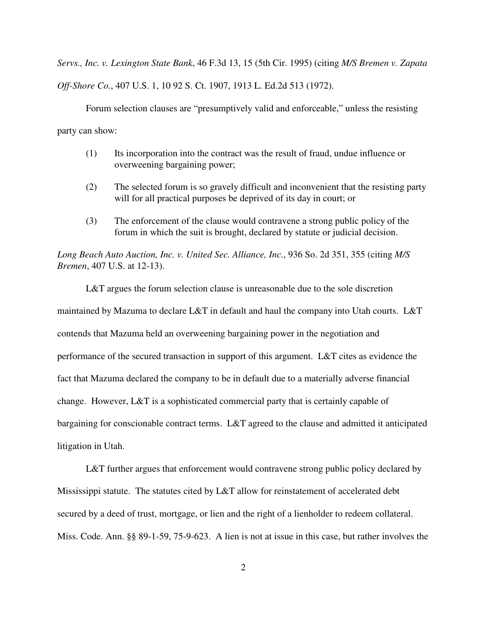*Servs., Inc. v. Lexington State Bank*, 46 F.3d 13, 15 (5th Cir. 1995) (citing *M/S Bremen v. Zapata Off-Shore Co.*, 407 U.S. 1, 10 92 S. Ct. 1907, 1913 L. Ed.2d 513 (1972).

Forum selection clauses are "presumptively valid and enforceable," unless the resisting party can show:

- (1) Its incorporation into the contract was the result of fraud, undue influence or overweening bargaining power;
- (2) The selected forum is so gravely difficult and inconvenient that the resisting party will for all practical purposes be deprived of its day in court; or
- (3) The enforcement of the clause would contravene a strong public policy of the forum in which the suit is brought, declared by statute or judicial decision.

*Long Beach Auto Auction, Inc. v. United Sec. Alliance, Inc.*, 936 So. 2d 351, 355 (citing *M/S Bremen*, 407 U.S. at 12-13).

L&T argues the forum selection clause is unreasonable due to the sole discretion maintained by Mazuma to declare L&T in default and haul the company into Utah courts. L&T contends that Mazuma held an overweening bargaining power in the negotiation and performance of the secured transaction in support of this argument. L&T cites as evidence the fact that Mazuma declared the company to be in default due to a materially adverse financial change. However, L&T is a sophisticated commercial party that is certainly capable of bargaining for conscionable contract terms. L&T agreed to the clause and admitted it anticipated litigation in Utah.

L&T further argues that enforcement would contravene strong public policy declared by Mississippi statute. The statutes cited by L&T allow for reinstatement of accelerated debt secured by a deed of trust, mortgage, or lien and the right of a lienholder to redeem collateral. Miss. Code. Ann. §§ 89-1-59, 75-9-623. A lien is not at issue in this case, but rather involves the